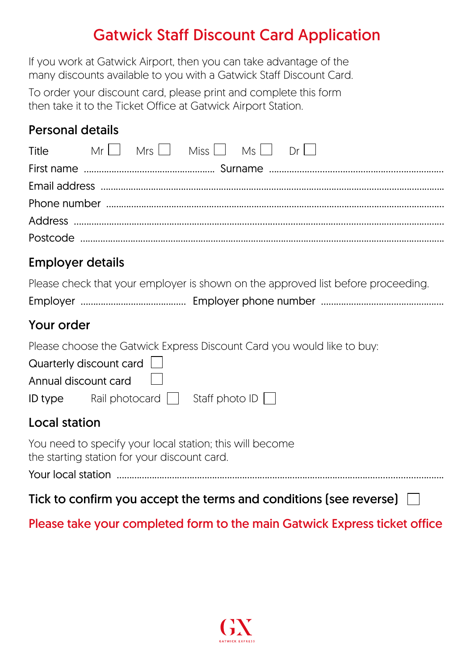## Gatwick Staff Discount Card Application

If you work at Gatwick Airport, then you can take advantage of the many discounts available to you with a Gatwick Staff Discount Card.

To order your discount card, please print and complete this form then take it to the Ticket Office at Gatwick Airport Station.

#### Personal details

| $\mathsf{Title}$ $\mathsf{Mr} \quad \mathsf{Mrs} \quad \mathsf{Miss} \quad \mathsf{Ms} \quad \mathsf{Dr} \quad \mathsf{Dr}$ |  |  |  |  |
|-----------------------------------------------------------------------------------------------------------------------------|--|--|--|--|
|                                                                                                                             |  |  |  |  |
|                                                                                                                             |  |  |  |  |
|                                                                                                                             |  |  |  |  |
|                                                                                                                             |  |  |  |  |
|                                                                                                                             |  |  |  |  |
|                                                                                                                             |  |  |  |  |

#### Employer details

|  | Please check that your employer is shown on the approved list before proceeding. |
|--|----------------------------------------------------------------------------------|
|--|----------------------------------------------------------------------------------|

|--|--|--|

#### Your order

Please choose the Gatwick Express Discount Card you would like to buy:

| Quarterly discount card $\Box$ |  |
|--------------------------------|--|
| Annual discount card           |  |

| <b>ID</b> type | Rail photocard $\Box$ Staff photo ID $\Box$ |  |
|----------------|---------------------------------------------|--|

#### Local station

You need to specify your local station; this will become the starting station for your discount card.

Your local station ..................................................................................................................................

Tick to confirm you accept the terms and conditions [see reverse]  $\Box$ 

#### Please take your completed form to the main Gatwick Express ticket office

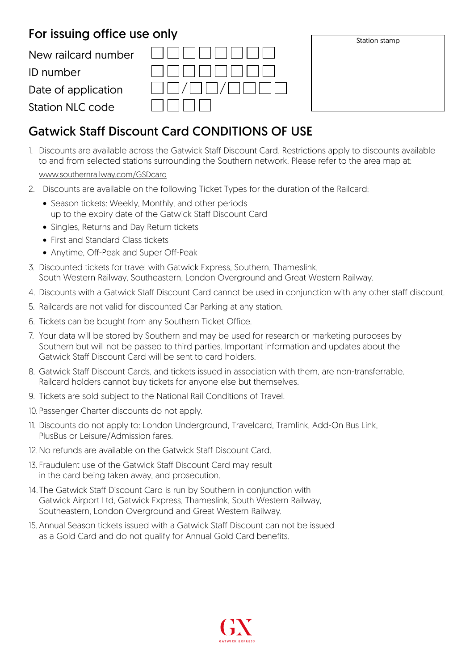#### For issuing office use only

New railcard number

ID number

Date of application

Station NLC code

| Station stamp |  |
|---------------|--|
|               |  |
|               |  |
|               |  |
|               |  |
|               |  |
|               |  |
|               |  |

### Gatwick Staff Discount Card CONDITIONS OF USE

1. Discounts are available across the Gatwick Staff Discount Card. Restrictions apply to discounts available to and from selected stations surrounding the Southern network. Please refer to the area map at:

#### www.southernrailway.com/GSDcard

- 2. Discounts are available on the following Ticket Types for the duration of the Railcard:
	- Season tickets: Weekly, Monthly, and other periods up to the expiry date of the Gatwick Staff Discount Card
	- Singles, Returns and Day Return tickets
	- First and Standard Class tickets
	- Anytime, Off-Peak and Super Off-Peak
- 3. Discounted tickets for travel with Gatwick Express, Southern, Thameslink, South Western Railway, Southeastern, London Overground and Great Western Railway.
- 4. Discounts with a Gatwick Staff Discount Card cannot be used in conjunction with any other staff discount.
- 5. Railcards are not valid for discounted Car Parking at any station.
- 6. Tickets can be bought from any Southern Ticket Office.
- 7. Your data will be stored by Southern and may be used for research or marketing purposes by Southern but will not be passed to third parties. Important information and updates about the Gatwick Staff Discount Card will be sent to card holders.
- 8. Gatwick Staff Discount Cards, and tickets issued in association with them, are non-transferrable. Railcard holders cannot buy tickets for anyone else but themselves.
- 9. Tickets are sold subject to the National Rail Conditions of Travel.
- 10. Passenger Charter discounts do not apply.
- 11. Discounts do not apply to: London Underground, Travelcard, Tramlink, Add-On Bus Link, PlusBus or Leisure/Admission fares.
- 12. No refunds are available on the Gatwick Staff Discount Card.
- 13. Fraudulent use of the Gatwick Staff Discount Card may result in the card being taken away, and prosecution.
- 14.The Gatwick Staff Discount Card is run by Southern in conjunction with Gatwick Airport Ltd, Gatwick Express, Thameslink, South Western Railway, Southeastern, London Overground and Great Western Railway.
- 15. Annual Season tickets issued with a Gatwick Staff Discount can not be issued as a Gold Card and do not qualify for Annual Gold Card benefits.